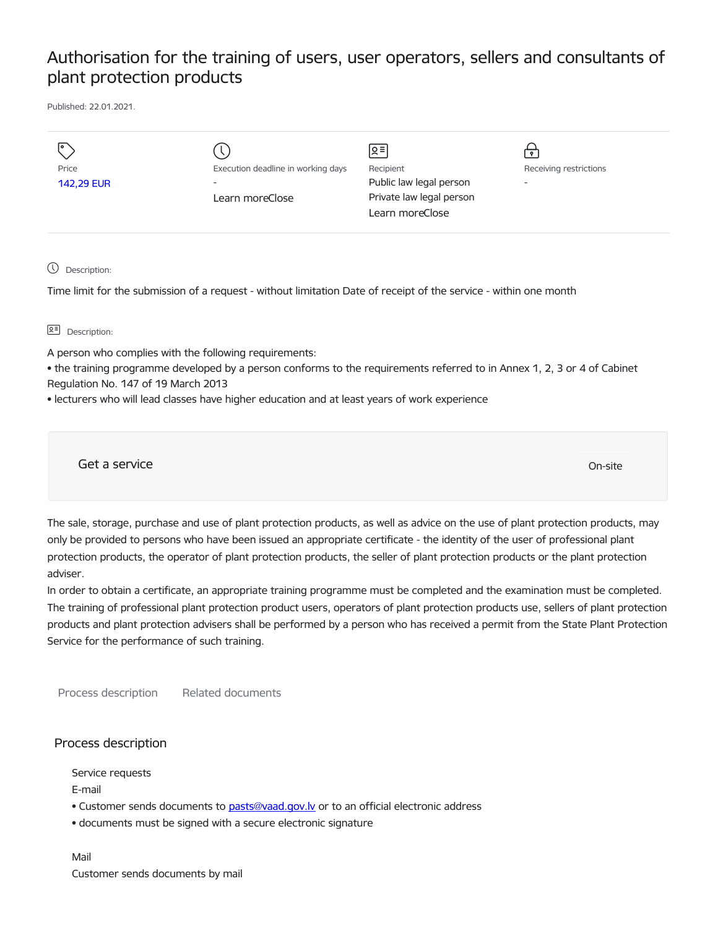## Authorisation for the training of users, user operators, sellers and consultants of plant protection products

Published: 22.01.2021.

| Price<br>142,29 EUR                                                                           | Execution deadline in working days<br>Learn moreClose                                                                                                                                                                                                                                                                                                                                                                                                                                                                                                                                                                                                                                                                                                                                                          | ⊠≡<br>Recipient<br>Public law legal person<br>Private law legal person<br>Learn moreClose | ᢦ<br>Receiving restrictions |
|-----------------------------------------------------------------------------------------------|----------------------------------------------------------------------------------------------------------------------------------------------------------------------------------------------------------------------------------------------------------------------------------------------------------------------------------------------------------------------------------------------------------------------------------------------------------------------------------------------------------------------------------------------------------------------------------------------------------------------------------------------------------------------------------------------------------------------------------------------------------------------------------------------------------------|-------------------------------------------------------------------------------------------|-----------------------------|
| Description:                                                                                  | Time limit for the submission of a request - without limitation Date of receipt of the service - within one month                                                                                                                                                                                                                                                                                                                                                                                                                                                                                                                                                                                                                                                                                              |                                                                                           |                             |
| 오티<br>Description:                                                                            |                                                                                                                                                                                                                                                                                                                                                                                                                                                                                                                                                                                                                                                                                                                                                                                                                |                                                                                           |                             |
| A person who complies with the following requirements:<br>Regulation No. 147 of 19 March 2013 | • the training programme developed by a person conforms to the requirements referred to in Annex 1, 2, 3 or 4 of Cabinet<br>. lecturers who will lead classes have higher education and at least years of work experience                                                                                                                                                                                                                                                                                                                                                                                                                                                                                                                                                                                      |                                                                                           |                             |
| Get a service                                                                                 |                                                                                                                                                                                                                                                                                                                                                                                                                                                                                                                                                                                                                                                                                                                                                                                                                |                                                                                           | On-site                     |
| adviser.<br>Service for the performance of such training.                                     | The sale, storage, purchase and use of plant protection products, as well as advice on the use of plant protection products, may<br>only be provided to persons who have been issued an appropriate certificate - the identity of the user of professional plant<br>protection products, the operator of plant protection products, the seller of plant protection products or the plant protection<br>In order to obtain a certificate, an appropriate training programme must be completed and the examination must be completed.<br>The training of professional plant protection product users, operators of plant protection products use, sellers of plant protection<br>products and plant protection advisers shall be performed by a person who has received a permit from the State Plant Protection |                                                                                           |                             |

Process description Related documents

## Process description

Service requests

E-mail

- Customer sends documents to pasts@vaad.gov.ly or to an official electronic address
- documents must be signed with a secure electronic signature

Mail Customer sends documents by mail